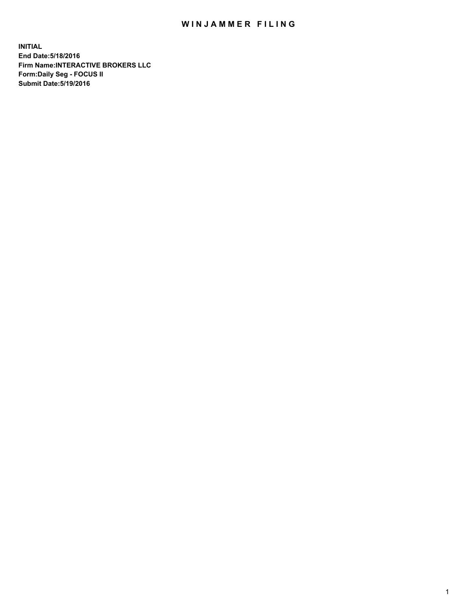## WIN JAMMER FILING

**INITIAL End Date:5/18/2016 Firm Name:INTERACTIVE BROKERS LLC Form:Daily Seg - FOCUS II Submit Date:5/19/2016**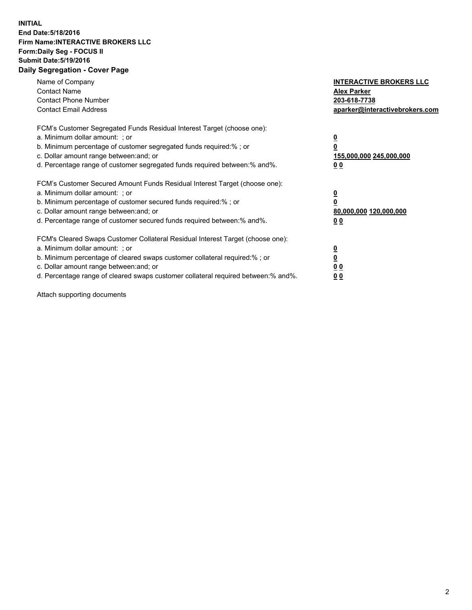## **INITIAL End Date:5/18/2016 Firm Name:INTERACTIVE BROKERS LLC Form:Daily Seg - FOCUS II Submit Date:5/19/2016 Daily Segregation - Cover Page**

| Name of Company<br><b>Contact Name</b><br><b>Contact Phone Number</b><br><b>Contact Email Address</b>                                                                                                                                                                                                                          | <b>INTERACTIVE BROKERS LLC</b><br><b>Alex Parker</b><br>203-618-7738<br>aparker@interactivebrokers.com |
|--------------------------------------------------------------------------------------------------------------------------------------------------------------------------------------------------------------------------------------------------------------------------------------------------------------------------------|--------------------------------------------------------------------------------------------------------|
| FCM's Customer Segregated Funds Residual Interest Target (choose one):<br>a. Minimum dollar amount: ; or<br>b. Minimum percentage of customer segregated funds required:%; or<br>c. Dollar amount range between: and; or<br>d. Percentage range of customer segregated funds required between:% and%.                          | <u>0</u><br>155,000,000 245,000,000<br><u>00</u>                                                       |
| FCM's Customer Secured Amount Funds Residual Interest Target (choose one):<br>a. Minimum dollar amount: ; or<br>b. Minimum percentage of customer secured funds required:%; or<br>c. Dollar amount range between: and; or<br>d. Percentage range of customer secured funds required between:% and%.                            | <u>0</u><br>80,000,000 120,000,000<br><u>00</u>                                                        |
| FCM's Cleared Swaps Customer Collateral Residual Interest Target (choose one):<br>a. Minimum dollar amount: ; or<br>b. Minimum percentage of cleared swaps customer collateral required:% ; or<br>c. Dollar amount range between: and; or<br>d. Percentage range of cleared swaps customer collateral required between:% and%. | <u>0</u><br>0 <sub>0</sub><br>0 <sub>0</sub>                                                           |

Attach supporting documents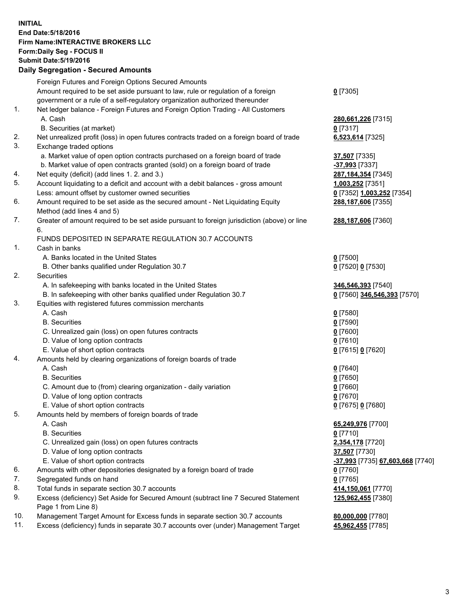## **INITIAL End Date:5/18/2016 Firm Name:INTERACTIVE BROKERS LLC Form:Daily Seg - FOCUS II Submit Date:5/19/2016 Daily Segregation - Secured Amounts**

|     | Foreign Futures and Foreign Options Secured Amounts                                         |                                  |
|-----|---------------------------------------------------------------------------------------------|----------------------------------|
|     | Amount required to be set aside pursuant to law, rule or regulation of a foreign            | $0$ [7305]                       |
|     | government or a rule of a self-regulatory organization authorized thereunder                |                                  |
| 1.  | Net ledger balance - Foreign Futures and Foreign Option Trading - All Customers             |                                  |
|     | A. Cash                                                                                     | 280,661,226 [7315]               |
|     | B. Securities (at market)                                                                   | $0$ [7317]                       |
| 2.  | Net unrealized profit (loss) in open futures contracts traded on a foreign board of trade   | 6,523,614 [7325]                 |
| 3.  | Exchange traded options                                                                     |                                  |
|     | a. Market value of open option contracts purchased on a foreign board of trade              | 37,507 [7335]                    |
|     | b. Market value of open contracts granted (sold) on a foreign board of trade                | -37,993 [7337]                   |
| 4.  | Net equity (deficit) (add lines 1.2. and 3.)                                                | 287, 184, 354 [7345]             |
| 5.  | Account liquidating to a deficit and account with a debit balances - gross amount           | 1,003,252 [7351]                 |
|     | Less: amount offset by customer owned securities                                            | 0 [7352] 1,003,252 [7354]        |
| 6.  |                                                                                             |                                  |
|     | Amount required to be set aside as the secured amount - Net Liquidating Equity              | 288,187,606 [7355]               |
|     | Method (add lines 4 and 5)                                                                  |                                  |
| 7.  | Greater of amount required to be set aside pursuant to foreign jurisdiction (above) or line | 288,187,606 [7360]               |
|     | 6.                                                                                          |                                  |
|     | FUNDS DEPOSITED IN SEPARATE REGULATION 30.7 ACCOUNTS                                        |                                  |
| 1.  | Cash in banks                                                                               |                                  |
|     | A. Banks located in the United States                                                       | $0$ [7500]                       |
|     | B. Other banks qualified under Regulation 30.7                                              | 0 [7520] 0 [7530]                |
| 2.  | Securities                                                                                  |                                  |
|     | A. In safekeeping with banks located in the United States                                   | 346,546,393 [7540]               |
|     | B. In safekeeping with other banks qualified under Regulation 30.7                          | 0 [7560] 346,546,393 [7570]      |
| 3.  | Equities with registered futures commission merchants                                       |                                  |
|     | A. Cash                                                                                     | $0$ [7580]                       |
|     | <b>B.</b> Securities                                                                        | $0$ [7590]                       |
|     | C. Unrealized gain (loss) on open futures contracts                                         | $0$ [7600]                       |
|     | D. Value of long option contracts                                                           | $0$ [7610]                       |
|     | E. Value of short option contracts                                                          | 0 [7615] 0 [7620]                |
| 4.  | Amounts held by clearing organizations of foreign boards of trade                           |                                  |
|     | A. Cash                                                                                     | $0$ [7640]                       |
|     | <b>B.</b> Securities                                                                        | $0$ [7650]                       |
|     | C. Amount due to (from) clearing organization - daily variation                             | $0$ [7660]                       |
|     | D. Value of long option contracts                                                           | $0$ [7670]                       |
|     | E. Value of short option contracts                                                          | 0 [7675] 0 [7680]                |
| 5.  | Amounts held by members of foreign boards of trade                                          |                                  |
|     | A. Cash                                                                                     | 65,249,976 [7700]                |
|     | <b>B.</b> Securities                                                                        | $0$ [7710]                       |
|     | C. Unrealized gain (loss) on open futures contracts                                         | 2,354,178 [7720]                 |
|     | D. Value of long option contracts                                                           | 37,507 [7730]                    |
|     | E. Value of short option contracts                                                          | -37,993 [7735] 67,603,668 [7740] |
| 6.  | Amounts with other depositories designated by a foreign board of trade                      | $0$ [7760]                       |
| 7.  | Segregated funds on hand                                                                    | $0$ [7765]                       |
| 8.  | Total funds in separate section 30.7 accounts                                               | 414,150,061 [7770]               |
| 9.  | Excess (deficiency) Set Aside for Secured Amount (subtract line 7 Secured Statement         | 125,962,455 [7380]               |
|     | Page 1 from Line 8)                                                                         |                                  |
| 10. | Management Target Amount for Excess funds in separate section 30.7 accounts                 | 80,000,000 [7780]                |
| 11. | Excess (deficiency) funds in separate 30.7 accounts over (under) Management Target          | 45,962,455 [7785]                |
|     |                                                                                             |                                  |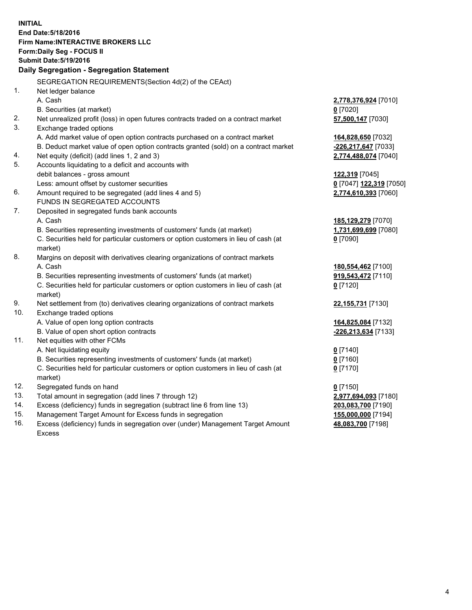**INITIAL End Date:5/18/2016 Firm Name:INTERACTIVE BROKERS LLC Form:Daily Seg - FOCUS II Submit Date:5/19/2016 Daily Segregation - Segregation Statement** SEGREGATION REQUIREMENTS(Section 4d(2) of the CEAct) 1. Net ledger balance A. Cash **2,778,376,924** [7010] B. Securities (at market) **0** [7020] 2. Net unrealized profit (loss) in open futures contracts traded on a contract market **57,500,147** [7030] 3. Exchange traded options A. Add market value of open option contracts purchased on a contract market **164,828,650** [7032] B. Deduct market value of open option contracts granted (sold) on a contract market **-226,217,647** [7033] 4. Net equity (deficit) (add lines 1, 2 and 3) **2,774,488,074** [7040] 5. Accounts liquidating to a deficit and accounts with debit balances - gross amount **122,319** [7045] Less: amount offset by customer securities **0** [7047] **122,319** [7050] 6. Amount required to be segregated (add lines 4 and 5) **2,774,610,393** [7060] FUNDS IN SEGREGATED ACCOUNTS 7. Deposited in segregated funds bank accounts A. Cash **185,129,279** [7070] B. Securities representing investments of customers' funds (at market) **1,731,699,699** [7080] C. Securities held for particular customers or option customers in lieu of cash (at market) **0** [7090] 8. Margins on deposit with derivatives clearing organizations of contract markets A. Cash **180,554,462** [7100] B. Securities representing investments of customers' funds (at market) **919,543,472** [7110] C. Securities held for particular customers or option customers in lieu of cash (at market) **0** [7120] 9. Net settlement from (to) derivatives clearing organizations of contract markets **22,155,731** [7130] 10. Exchange traded options A. Value of open long option contracts **164,825,084** [7132] B. Value of open short option contracts **-226,213,634** [7133] 11. Net equities with other FCMs A. Net liquidating equity **0** [7140] B. Securities representing investments of customers' funds (at market) **0** [7160] C. Securities held for particular customers or option customers in lieu of cash (at market) **0** [7170] 12. Segregated funds on hand **0** [7150] 13. Total amount in segregation (add lines 7 through 12) **2,977,694,093** [7180] 14. Excess (deficiency) funds in segregation (subtract line 6 from line 13) **203,083,700** [7190] 15. Management Target Amount for Excess funds in segregation **155,000,000** [7194] **48,083,700** [7198]

16. Excess (deficiency) funds in segregation over (under) Management Target Amount Excess